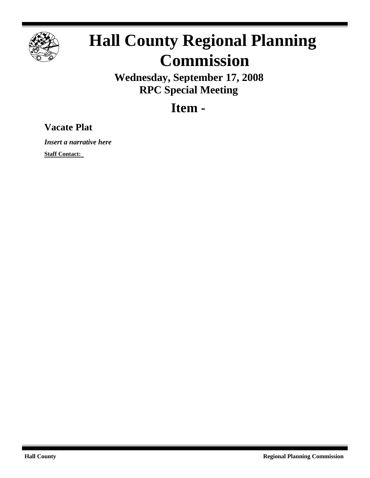

## **Hall County Regional Planning Commission**

**Wednesday, September 17, 2008 RPC Special Meeting**

**Item -**

## **Vacate Plat**

*Insert a narrative here*

**Staff Contact:**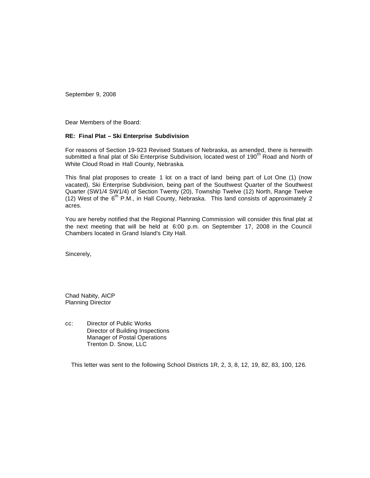September 9, 2008

Dear Members of the Board:

## **RE: Final Plat – Ski Enterprise Subdivision**

For reasons of Section 19-923 Revised Statues of Nebraska, as amended, there is herewith submitted a final plat of Ski Enterprise Subdivision, located west of 190<sup>th</sup> Road and North of White Cloud Road in Hall County, Nebraska.

This final plat proposes to create 1 lot on a tract of land being part of Lot One (1) (now vacated), Ski Enterprise Subdivision, being part of the Southwest Quarter of the Southwest Quarter (SW1/4 SW1/4) of Section Twenty (20), Township Twelve (12) North, Range Twelve (12) West of the  $6^{th}$  P.M., in Hall County, Nebraska. This land consists of approximately 2 acres.

You are hereby notified that the Regional Planning Commission will consider this final plat at the next meeting that will be held at 6:00 p.m. on September 17, 2008 in the Council Chambers located in Grand Island's City Hall.

Sincerely,

Chad Nabity, AICP Planning Director

cc: Director of Public Works Director of Building Inspections Manager of Postal Operations Trenton D. Snow, LLC

This letter was sent to the following School Districts 1R, 2, 3, 8, 12, 19, 82, 83, 100, 126.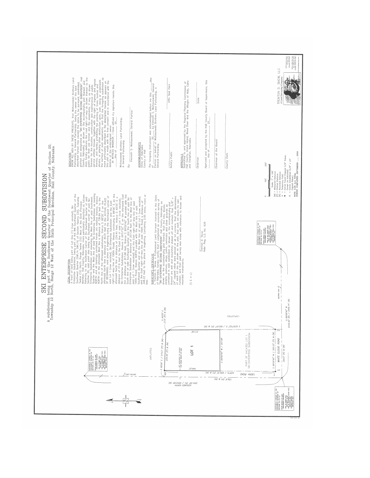